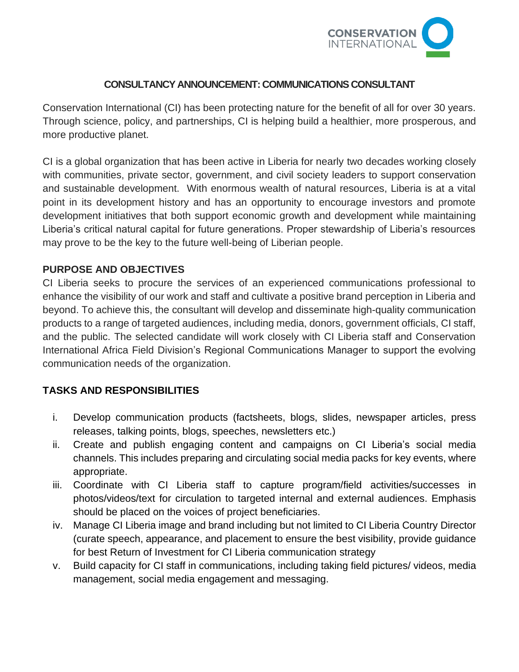

### **CONSULTANCY ANNOUNCEMENT: COMMUNICATIONS CONSULTANT**

Conservation International (CI) has been protecting nature for the benefit of all for over 30 years. Through science, policy, and partnerships, CI is helping build a healthier, more prosperous, and more productive planet.

CI is a global organization that has been active in Liberia for nearly two decades working closely with communities, private sector, government, and civil society leaders to support conservation and sustainable development. With enormous wealth of natural resources, Liberia is at a vital point in its development history and has an opportunity to encourage investors and promote development initiatives that both support economic growth and development while maintaining Liberia's critical natural capital for future generations. Proper stewardship of Liberia's resources may prove to be the key to the future well-being of Liberian people.

### **PURPOSE AND OBJECTIVES**

CI Liberia seeks to procure the services of an experienced communications professional to enhance the visibility of our work and staff and cultivate a positive brand perception in Liberia and beyond. To achieve this, the consultant will develop and disseminate high-quality communication products to a range of targeted audiences, including media, donors, government officials, CI staff, and the public. The selected candidate will work closely with CI Liberia staff and Conservation International Africa Field Division's Regional Communications Manager to support the evolving communication needs of the organization.

### **TASKS AND RESPONSIBILITIES**

- i. Develop communication products (factsheets, blogs, slides, newspaper articles, press releases, talking points, blogs, speeches, newsletters etc.)
- ii. Create and publish engaging content and campaigns on CI Liberia's social media channels. This includes preparing and circulating social media packs for key events, where appropriate.
- iii. Coordinate with CI Liberia staff to capture program/field activities/successes in photos/videos/text for circulation to targeted internal and external audiences. Emphasis should be placed on the voices of project beneficiaries.
- iv. Manage CI Liberia image and brand including but not limited to CI Liberia Country Director (curate speech, appearance, and placement to ensure the best visibility, provide guidance for best Return of Investment for CI Liberia communication strategy
- v. Build capacity for CI staff in communications, including taking field pictures/ videos, media management, social media engagement and messaging.